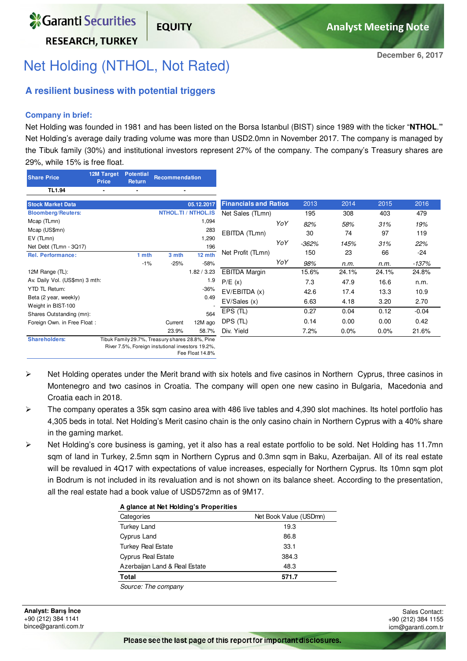**RESEARCH. TURKEY** 

## Net Holding (NTHOL, Not Rated)

**FOUITY** 

### **A resilient business with potential triggers**

#### **Company in brief:**

Net Holding was founded in 1981 and has been listed on the Borsa Istanbul (BIST) since 1989 with the ticker "**NTHOL**.**"**  Net Holding's average daily trading volume was more than USD2.0mn in November 2017. The company is managed by the Tibuk family (30%) and institutional investors represent 27% of the company. The company's Treasury shares are 29%, while 15% is free float.

| <b>Share Price</b>             | 12M Target<br><b>Price</b> | <b>Potential</b><br><b>Return</b> | Recommendation                                  |                            |                              |     |         |       |       |         |
|--------------------------------|----------------------------|-----------------------------------|-------------------------------------------------|----------------------------|------------------------------|-----|---------|-------|-------|---------|
| <b>TL1.94</b>                  |                            |                                   | $\blacksquare$                                  |                            |                              |     |         |       |       |         |
| <b>Stock Market Data</b>       |                            |                                   |                                                 | 05.12.2017                 | <b>Financials and Ratios</b> |     | 2013    | 2014  | 2015  | 2016    |
| <b>Bloomberg/Reuters:</b>      |                            |                                   |                                                 | <b>NTHOL.TI / NTHOL.IS</b> | Net Sales (TLmn)             |     | 195     | 308   | 403   | 479     |
| Mcap (TLmn)                    |                            |                                   |                                                 | 1,094                      |                              | YoY | 82%     | 58%   | 31%   | 19%     |
| Mcap (US\$mn)                  |                            |                                   |                                                 | 283                        | EBITDA (TLmn)                |     | 30      | 74    | 97    | 119     |
| EV (TLmn)                      |                            |                                   |                                                 | 1,290                      |                              | YoY | $-362%$ | 145%  | 31%   | 22%     |
| Net Debt (TLmn - 3Q17)         |                            |                                   |                                                 | 196                        |                              |     |         |       |       |         |
| <b>Rel. Performance:</b>       |                            | 1 mth                             | 3 mth                                           | 12 mth                     | Net Profit (TLmn)            |     | 150     | 23    | 66    | $-24$   |
|                                |                            | $-1%$                             | $-25%$                                          | $-58%$                     |                              | YoY | 98%     | n.m.  | n.m.  | $-137%$ |
| 12M Range (TL):                |                            |                                   |                                                 | 1.82 / 3.23                | <b>EBITDA Margin</b>         |     | 15.6%   | 24.1% | 24.1% | 24.8%   |
| Av. Daily Vol. (US\$mn) 3 mth: |                            |                                   |                                                 | 1.9                        | P/E(x)                       |     | 7.3     | 47.9  | 16.6  | n.m.    |
| <b>YTD TL Return:</b>          |                            |                                   |                                                 | $-36%$                     | EV/EBITDA(x)                 |     | 42.6    | 17.4  | 13.3  | 10.9    |
| Beta (2 year, weekly)          |                            |                                   |                                                 | 0.49                       | EV/Sales(x)                  |     | 6.63    | 4.18  | 3.20  | 2.70    |
| Weight in BIST-100             |                            |                                   |                                                 |                            |                              |     |         |       |       |         |
| Shares Outstanding (mn):       |                            |                                   |                                                 | 564                        | $EPS$ (TL)                   |     | 0.27    | 0.04  | 0.12  | $-0.04$ |
| Foreign Own. in Free Float:    |                            |                                   | Current                                         | 12M ago                    | DPS (TL)                     |     | 0.14    | 0.00  | 0.00  | 0.42    |
|                                |                            |                                   | 23.9%                                           | 58.7%                      | Div. Yield                   |     | 7.2%    | 0.0%  | 0.0%  | 21.6%   |
| <b>Shareholders:</b>           |                            |                                   | Tibuk Family 29.7%, Treasury shares 28.8%, Pine |                            |                              |     |         |       |       |         |

River 7.5%, Foreign instutional investors 19.2%,

Fee Float 14.8%

- $\triangleright$  Net Holding operates under the Merit brand with six hotels and five casinos in Northern Cyprus, three casinos in Montenegro and two casinos in Croatia. The company will open one new casino in Bulgaria, Macedonia and Croatia each in 2018.
- $\triangleright$  The company operates a 35k sqm casino area with 486 live tables and 4,390 slot machines. Its hotel portfolio has 4,305 beds in total. Net Holding's Merit casino chain is the only casino chain in Northern Cyprus with a 40% share in the gaming market.
- $\triangleright$  Net Holding's core business is gaming, yet it also has a real estate portfolio to be sold. Net Holding has 11.7mn sqm of land in Turkey, 2.5mn sqm in Northern Cyprus and 0.3mn sqm in Baku, Azerbaijan. All of its real estate will be revalued in 4Q17 with expectations of value increases, especially for Northern Cyprus. Its 10mn sqm plot in Bodrum is not included in its revaluation and is not shown on its balance sheet. According to the presentation, all the real estate had a book value of USD572mn as of 9M17.

| A glance at Net Holding's Properities |                        |  |  |  |  |  |  |
|---------------------------------------|------------------------|--|--|--|--|--|--|
| Categories                            | Net Book Value (USDmn) |  |  |  |  |  |  |
| <b>Turkey Land</b>                    | 19.3                   |  |  |  |  |  |  |
| Cyprus Land                           | 86.8                   |  |  |  |  |  |  |
| <b>Turkey Real Estate</b>             | 33.1                   |  |  |  |  |  |  |
| <b>Cyprus Real Estate</b>             | 384.3                  |  |  |  |  |  |  |
| Azerbaijan Land & Real Estate         | 48.3                   |  |  |  |  |  |  |
| Total                                 | 571.7                  |  |  |  |  |  |  |
| Source: The company                   |                        |  |  |  |  |  |  |

**Analyst: Barı**ş İ**nce**  +90 (212) 384 1141 bince@garanti.com.tr

Sales Contact: +90 (212) 384 1155 icm@garanti.com.tr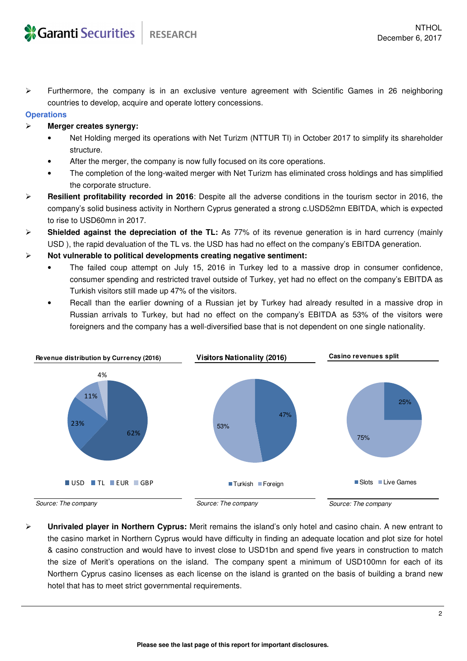Furthermore, the company is in an exclusive venture agreement with Scientific Games in 26 neighboring countries to develop, acquire and operate lottery concessions.

#### **Operations**

#### **Merger creates synergy:**

- Net Holding merged its operations with Net Turizm (NTTUR TI) in October 2017 to simplify its shareholder structure.
- After the merger, the company is now fully focused on its core operations.
- The completion of the long-waited merger with Net Turizm has eliminated cross holdings and has simplified the corporate structure.
- **Resilient profitability recorded in 2016**: Despite all the adverse conditions in the tourism sector in 2016, the company's solid business activity in Northern Cyprus generated a strong c.USD52mn EBITDA, which is expected to rise to USD60mn in 2017.
- **Shielded against the depreciation of the TL:** As 77% of its revenue generation is in hard currency (mainly USD ), the rapid devaluation of the TL vs. the USD has had no effect on the company's EBITDA generation.
- **Not vulnerable to political developments creating negative sentiment:** 
	- The failed coup attempt on July 15, 2016 in Turkey led to a massive drop in consumer confidence, consumer spending and restricted travel outside of Turkey, yet had no effect on the company's EBITDA as Turkish visitors still made up 47% of the visitors.
	- Recall than the earlier downing of a Russian jet by Turkey had already resulted in a massive drop in Russian arrivals to Turkey, but had no effect on the company's EBITDA as 53% of the visitors were foreigners and the company has a well-diversified base that is not dependent on one single nationality.



Source: The company

Source: The company

 **Unrivaled player in Northern Cyprus:** Merit remains the island's only hotel and casino chain. A new entrant to the casino market in Northern Cyprus would have difficulty in finding an adequate location and plot size for hotel & casino construction and would have to invest close to USD1bn and spend five years in construction to match the size of Merit's operations on the island. The company spent a minimum of USD100mn for each of its Northern Cyprus casino licenses as each license on the island is granted on the basis of building a brand new hotel that has to meet strict governmental requirements.

Source: The company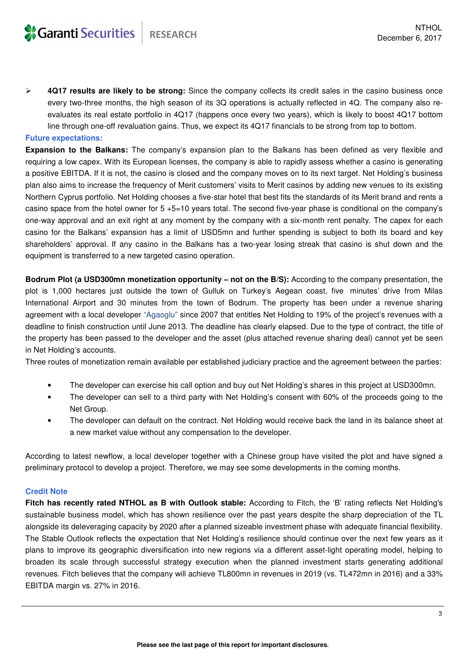**4Q17 results are likely to be strong:** Since the company collects its credit sales in the casino business once every two-three months, the high season of its 3Q operations is actually reflected in 4Q. The company also reevaluates its real estate portfolio in 4Q17 (happens once every two years), which is likely to boost 4Q17 bottom line through one-off revaluation gains. Thus, we expect its 4Q17 financials to be strong from top to bottom.

#### **Future expectations:**

**Expansion to the Balkans:** The company's expansion plan to the Balkans has been defined as very flexible and requiring a low capex. With its European licenses, the company is able to rapidly assess whether a casino is generating a positive EBITDA. If it is not, the casino is closed and the company moves on to its next target. Net Holding's business plan also aims to increase the frequency of Merit customers' visits to Merit casinos by adding new venues to its existing Northern Cyprus portfolio. Net Holding chooses a five-star hotel that best fits the standards of its Merit brand and rents a casino space from the hotel owner for 5 +5=10 years total. The second five-year phase is conditional on the company's one-way approval and an exit right at any moment by the company with a six-month rent penalty. The capex for each casino for the Balkans' expansion has a limit of USD5mn and further spending is subject to both its board and key shareholders' approval. If any casino in the Balkans has a two-year losing streak that casino is shut down and the equipment is transferred to a new targeted casino operation.

**Bodrum Plot (a USD300mn monetization opportunity – not on the B/S):** According to the company presentation, the plot is 1,000 hectares just outside the town of Gulluk on Turkey's Aegean coast, five minutes' drive from Milas International Airport and 30 minutes from the town of Bodrum. The property has been under a revenue sharing agreement with a local developer "Agaoglu" since 2007 that entitles Net Holding to 19% of the project's revenues with a deadline to finish construction until June 2013. The deadline has clearly elapsed. Due to the type of contract, the title of the property has been passed to the developer and the asset (plus attached revenue sharing deal) cannot yet be seen in Net Holding's accounts.

Three routes of monetization remain available per established judiciary practice and the agreement between the parties:

- The developer can exercise his call option and buy out Net Holding's shares in this project at USD300mn.
- The developer can sell to a third party with Net Holding's consent with 60% of the proceeds going to the Net Group.
- The developer can default on the contract. Net Holding would receive back the land in its balance sheet at a new market value without any compensation to the developer.

According to latest newflow, a local developer together with a Chinese group have visited the plot and have signed a preliminary protocol to develop a project. Therefore, we may see some developments in the coming months.

#### **Credit Note**

**Fitch has recently rated NTHOL as B with Outlook stable:** According to Fitch, the 'B' rating reflects Net Holding's sustainable business model, which has shown resilience over the past years despite the sharp depreciation of the TL alongside its deleveraging capacity by 2020 after a planned sizeable investment phase with adequate financial flexibility. The Stable Outlook reflects the expectation that Net Holding's resilience should continue over the next few years as it plans to improve its geographic diversification into new regions via a different asset-light operating model, helping to broaden its scale through successful strategy execution when the planned investment starts generating additional revenues. Fitch believes that the company will achieve TL800mn in revenues in 2019 (vs. TL472mn in 2016) and a 33% EBITDA margin vs. 27% in 2016.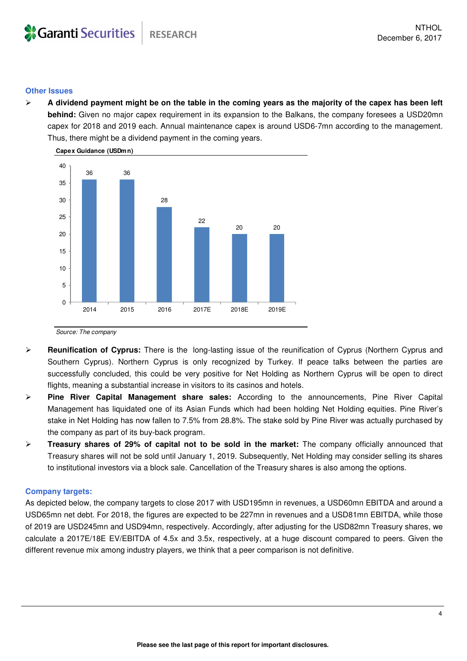#### **Other Issues**

 **A dividend payment might be on the table in the coming years as the majority of the capex has been left behind:** Given no major capex requirement in its expansion to the Balkans, the company foresees a USD20mn capex for 2018 and 2019 each. Annual maintenance capex is around USD6-7mn according to the management. Thus, there might be a dividend payment in the coming years.



Source: The company

- **Reunification of Cyprus:** There is the long-lasting issue of the reunification of Cyprus (Northern Cyprus and Southern Cyprus). Northern Cyprus is only recognized by Turkey. If peace talks between the parties are successfully concluded, this could be very positive for Net Holding as Northern Cyprus will be open to direct flights, meaning a substantial increase in visitors to its casinos and hotels.
- **Pine River Capital Management share sales:** According to the announcements, Pine River Capital Management has liquidated one of its Asian Funds which had been holding Net Holding equities. Pine River's stake in Net Holding has now fallen to 7.5% from 28.8%. The stake sold by Pine River was actually purchased by the company as part of its buy-back program.
- **Treasury shares of 29% of capital not to be sold in the market:** The company officially announced that Treasury shares will not be sold until January 1, 2019. Subsequently, Net Holding may consider selling its shares to institutional investors via a block sale. Cancellation of the Treasury shares is also among the options.

#### **Company targets:**

As depicted below, the company targets to close 2017 with USD195mn in revenues, a USD60mn EBITDA and around a USD65mn net debt. For 2018, the figures are expected to be 227mn in revenues and a USD81mn EBITDA, while those of 2019 are USD245mn and USD94mn, respectively. Accordingly, after adjusting for the USD82mn Treasury shares, we calculate a 2017E/18E EV/EBITDA of 4.5x and 3.5x, respectively, at a huge discount compared to peers. Given the different revenue mix among industry players, we think that a peer comparison is not definitive.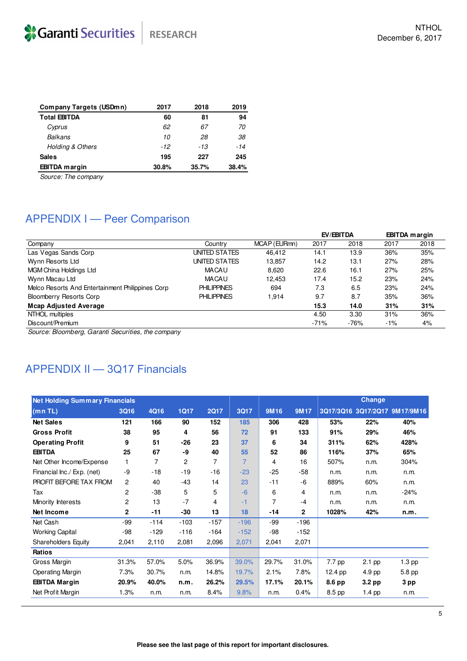| <b>Company Targets (USDmn)</b> | 2017  | 2018  | 2019  |
|--------------------------------|-------|-------|-------|
| <b>Total EBITDA</b>            | 60    | 81    | 94    |
| Cyprus                         | 62    | 67    | 70    |
| Balkans                        | 10    | 28    | 38    |
| <b>Holding &amp; Others</b>    | $-12$ | -13   | -14   |
| <b>Sales</b>                   | 195   | 227   | 245   |
| <b>EBITDA</b> margin           | 30.8% | 35.7% | 38.4% |

Source: The company

## APPENDIX I - Peer Comparison

|                    |              | EV/EBITDA |        | <b>EBITDA</b> margin |      |
|--------------------|--------------|-----------|--------|----------------------|------|
| Country            | MCAP (EURmn) | 2017      | 2018   | 2017                 | 2018 |
| UNITED STATES      | 46.412       | 14.1      | 13.9   | 36%                  | 35%  |
| UNITED STATES      | 13.857       | 14.2      | 13.1   | 27%                  | 28%  |
| <b>MACAU</b>       | 8.620        | 22.6      | 16.1   | 27%                  | 25%  |
| <b>MACAU</b>       | 12.453       | 17.4      | 15.2   | 23%                  | 24%  |
| <b>PHILIPPINES</b> | 694          | 7.3       | 6.5    | 23%                  | 24%  |
| <b>PHILIPPINES</b> | 1.914        | 9.7       | 8.7    | 35%                  | 36%  |
|                    |              | 15.3      | 14.0   | 31%                  | 31%  |
|                    |              | 4.50      | 3.30   | 31%                  | 36%  |
|                    |              | $-71%$    | $-76%$ | $-1%$                | 4%   |
|                    |              |           |        |                      |      |

Source: Bloomberg, Garanti Securities, the company

## APPENDIX II - 3Q17 Financials

| <b>Net Holding Summary Financials</b> |              |        |             |             |                |                |              |          | Change   |                               |  |  |
|---------------------------------------|--------------|--------|-------------|-------------|----------------|----------------|--------------|----------|----------|-------------------------------|--|--|
| (mnTL)                                | 3Q16         | 4Q16   | <b>1Q17</b> | <b>2Q17</b> | 3Q17           | 9M16           | <b>9M17</b>  |          |          | 3Q17/3Q16 3Q17/2Q17 9M17/9M16 |  |  |
| <b>Net Sales</b>                      | 121          | 166    | 90          | 152         | 185            | 306            | 428          | 53%      | 22%      | 40%                           |  |  |
| <b>Gross Profit</b>                   | 38           | 95     | 4           | 56          | 72             | 91             | 133          | 91%      | 29%      | 46%                           |  |  |
| <b>Operating Profit</b>               | 9            | 51     | -26         | 23          | 37             | 6              | 34           | 311%     | 62%      | 428%                          |  |  |
| <b>EBITDA</b>                         | 25           | 67     | -9          | 40          | 55             | 52             | 86           | 116%     | 37%      | 65%                           |  |  |
| Net Other Income/Expense              | 1            | 7      | 2           | 7           | $\overline{7}$ | 4              | 16           | 507%     | n.m.     | 304%                          |  |  |
| Financial Inc./ Exp. (net)            | -9           | $-18$  | $-19$       | $-16$       | $-23$          | $-25$          | -58          | n.m.     | n.m.     | n.m.                          |  |  |
| PROFIT BEFORE TAX FROM                | 2            | 40     | -43         | 14          | 23             | $-11$          | -6           | 889%     | 60%      | n.m.                          |  |  |
| Tax                                   | $\mathbf{2}$ | $-38$  | 5           | 5           | $-6$           | 6              | 4            | n.m.     | n.m.     | $-24%$                        |  |  |
| Minority Interests                    | 2            | 13     | $-7$        | 4           | $-1$           | $\overline{7}$ | $-4$         | n.m.     | n.m.     | n.m.                          |  |  |
| Net Income                            | $\mathbf{2}$ | $-11$  | -30         | 13          | 18             | -14            | $\mathbf{2}$ | 1028%    | 42%      | n.m.                          |  |  |
| Net Cash                              | -99          | $-114$ | $-103$      | $-157$      | $-196$         | $-99$          | $-196$       |          |          |                               |  |  |
| <b>Working Capital</b>                | $-98$        | $-129$ | $-116$      | -164        | $-152$         | $-98$          | $-152$       |          |          |                               |  |  |
| <b>Shareholders Equity</b>            | 2,041        | 2,110  | 2,081       | 2,096       | 2,071          | 2,041          | 2,071        |          |          |                               |  |  |
| <b>Ratios</b>                         |              |        |             |             |                |                |              |          |          |                               |  |  |
| Gross Margin                          | 31.3%        | 57.0%  | 5.0%        | 36.9%       | 39.0%          | 29.7%          | 31.0%        | $7.7$ pp | $2.1$ pp | $1.3$ pp                      |  |  |
| <b>Operating Margin</b>               | 7.3%         | 30.7%  | n.m.        | 14.8%       | 19.7%          | 2.1%           | 7.8%         | 12.4 pp  | 4.9 pp   | 5.8 pp                        |  |  |
| <b>EBITDA Margin</b>                  | 20.9%        | 40.0%  | n.m.        | 26.2%       | 29.5%          | 17.1%          | 20.1%        | 8.6 pp   | 3.2 pp   | 3 pp                          |  |  |
| Net Profit Margin                     | 1.3%         | n.m.   | n.m.        | 8.4%        | 9.8%           | n.m.           | 0.4%         | 8.5 pp   | $1.4$ pp | n.m.                          |  |  |